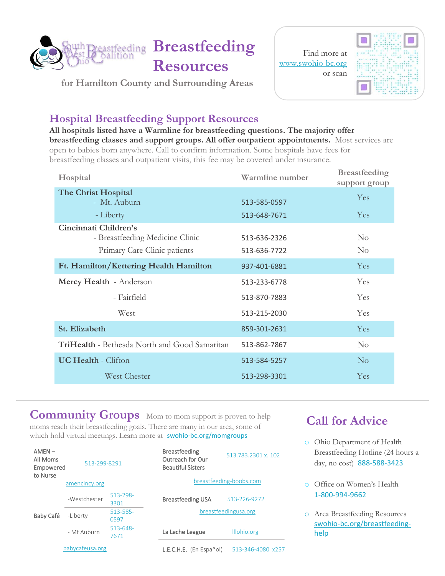

**for Hamilton County and Surrounding Areas**

| Find more at      |  |
|-------------------|--|
| www.swohio-bc.org |  |
| or scan           |  |
|                   |  |



### **Hospital Breastfeeding Support Resources**

**All hospitals listed have a Warmline for breastfeeding questions. The majority offer breastfeeding classes and support groups. All offer outpatient appointments.** Most services are open to babies born anywhere. Call to confirm information. Some hospitals have fees for breastfeeding classes and outpatient visits, this fee may be covered under insurance.

| Hospital                                             | <b>Warmline</b> number | <b>Breastfeeding</b><br>support group |  |  |  |  |
|------------------------------------------------------|------------------------|---------------------------------------|--|--|--|--|
| The Christ Hospital                                  |                        | <b>Yes</b>                            |  |  |  |  |
| - Mt. Auburn                                         | 513-585-0597           |                                       |  |  |  |  |
| - Liberty                                            | 513-648-7671           | Yes                                   |  |  |  |  |
| Cincinnati Children's                                |                        |                                       |  |  |  |  |
| - Breastfeeding Medicine Clinic                      | 513-636-2326           | $\rm No$                              |  |  |  |  |
| - Primary Care Clinic patients                       | 513-636-7722           | $\rm No$                              |  |  |  |  |
| Ft. Hamilton/Kettering Health Hamilton               | 937-401-6881           | <b>Yes</b>                            |  |  |  |  |
| Mercy Health - Anderson                              | 513-233-6778           | Yes                                   |  |  |  |  |
| - Fairfield                                          | 513-870-7883           | <b>Yes</b>                            |  |  |  |  |
| - West                                               | 513-215-2030           | Yes                                   |  |  |  |  |
| St. Elizabeth                                        | 859-301-2631           | <b>Yes</b>                            |  |  |  |  |
| <b>TriHealth</b> - Bethesda North and Good Samaritan | 513-862-7867           | $\rm No$                              |  |  |  |  |
| <b>UC Health - Clifton</b>                           | 513-584-5257           | N <sub>o</sub>                        |  |  |  |  |
| - West Chester                                       | 513-298-3301           | <b>Yes</b>                            |  |  |  |  |

#### **Community Groups** Mom to mom support is proven to help moms reach their breastfeeding goals. There are many in our area, some of which hold virtual meetings. Learn more at [swohio-bc.org/momgroups](http://www.swohio-bc.org/momgroups)

| $AMEN -$<br>All Moms<br>Empowered | 513-299-8291    |                       | <b>Breastfeeding</b><br>Outreach for Our<br><b>Beautiful Sisters</b> | 513.783.2301 x. 102 |
|-----------------------------------|-----------------|-----------------------|----------------------------------------------------------------------|---------------------|
| to Nurse                          | amencincy.org   |                       | breastfeeding-boobs.com                                              |                     |
|                                   | -Westchester    | 513-298-<br>3301      | <b>Breastfeeding USA</b>                                             | 513-226-9272        |
| Baby Café                         | -Liberty        | 513-585-<br>0597      | breastfeedingusa.org                                                 |                     |
|                                   | - Mt Auburn     | $513 - 648 -$<br>7671 | La Leche League                                                      | Illohio.org         |
|                                   | babycafeusa.org |                       | L.E.C.H.E. (En Español)                                              | 513-346-4080 x257   |

# **Call for Advice**

- o Ohio Department of Health Breastfeeding Hotline (24 hours a day, no cost) 888-588-3423
- o Office on Women's Health 1-800-994-9662
- o Area Breastfeeding Resources [swohio-bc.org/breastfeeding](https://www.swohio-bc.org/breastfeeding-help)[help](https://www.swohio-bc.org/breastfeeding-help)